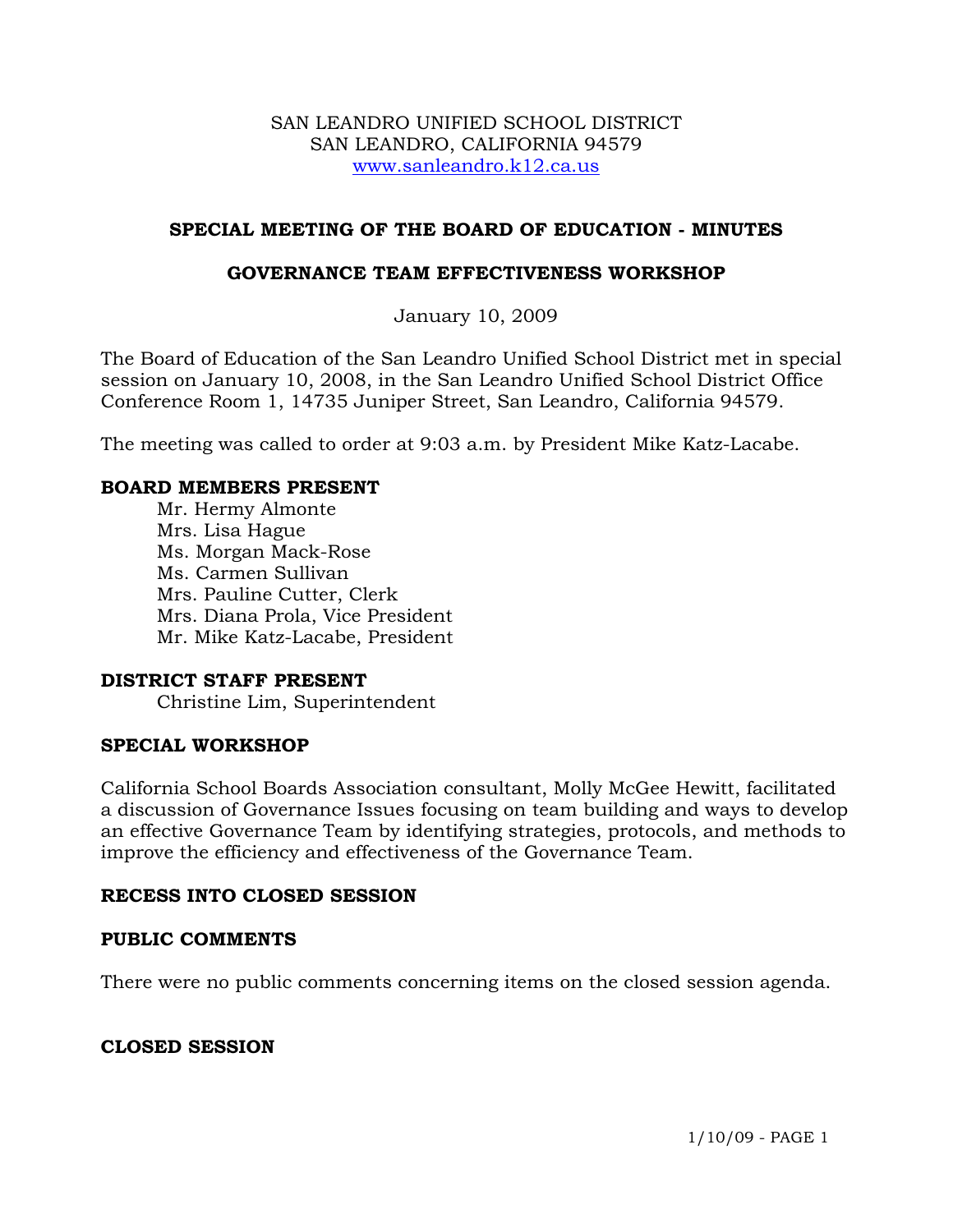#### SAN LEANDRO UNIFIED SCHOOL DISTRICT SAN LEANDRO, CALIFORNIA 94579 www.sanleandro.k12.ca.us

# **SPECIAL MEETING OF THE BOARD OF EDUCATION - MINUTES**

## **GOVERNANCE TEAM EFFECTIVENESS WORKSHOP**

January 10, 2009

The Board of Education of the San Leandro Unified School District met in special session on January 10, 2008, in the San Leandro Unified School District Office Conference Room 1, 14735 Juniper Street, San Leandro, California 94579.

The meeting was called to order at 9:03 a.m. by President Mike Katz-Lacabe.

## **BOARD MEMBERS PRESENT**

Mr. Hermy Almonte Mrs. Lisa Hague Ms. Morgan Mack-Rose Ms. Carmen Sullivan Mrs. Pauline Cutter, Clerk Mrs. Diana Prola, Vice President Mr. Mike Katz-Lacabe, President

#### **DISTRICT STAFF PRESENT**

Christine Lim, Superintendent

#### **SPECIAL WORKSHOP**

California School Boards Association consultant, Molly McGee Hewitt, facilitated a discussion of Governance Issues focusing on team building and ways to develop an effective Governance Team by identifying strategies, protocols, and methods to improve the efficiency and effectiveness of the Governance Team.

#### **RECESS INTO CLOSED SESSION**

#### **PUBLIC COMMENTS**

There were no public comments concerning items on the closed session agenda.

# **CLOSED SESSION**